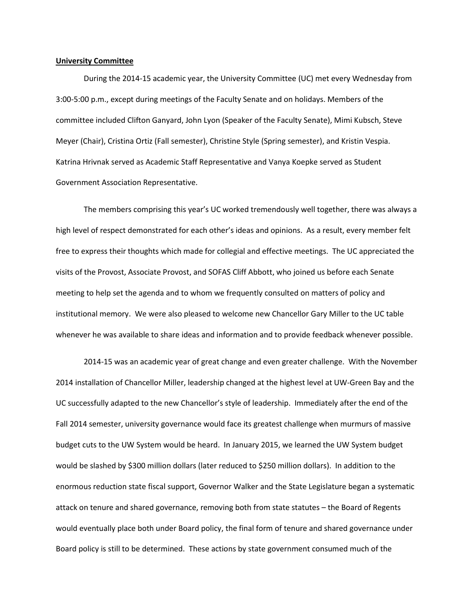## **University Committee**

During the 2014-15 academic year, the University Committee (UC) met every Wednesday from 3:00-5:00 p.m., except during meetings of the Faculty Senate and on holidays. Members of the committee included Clifton Ganyard, John Lyon (Speaker of the Faculty Senate), Mimi Kubsch, Steve Meyer (Chair), Cristina Ortiz (Fall semester), Christine Style (Spring semester), and Kristin Vespia. Katrina Hrivnak served as Academic Staff Representative and Vanya Koepke served as Student Government Association Representative.

The members comprising this year's UC worked tremendously well together, there was always a high level of respect demonstrated for each other's ideas and opinions. As a result, every member felt free to express their thoughts which made for collegial and effective meetings. The UC appreciated the visits of the Provost, Associate Provost, and SOFAS Cliff Abbott, who joined us before each Senate meeting to help set the agenda and to whom we frequently consulted on matters of policy and institutional memory. We were also pleased to welcome new Chancellor Gary Miller to the UC table whenever he was available to share ideas and information and to provide feedback whenever possible.

2014-15 was an academic year of great change and even greater challenge. With the November 2014 installation of Chancellor Miller, leadership changed at the highest level at UW-Green Bay and the UC successfully adapted to the new Chancellor's style of leadership. Immediately after the end of the Fall 2014 semester, university governance would face its greatest challenge when murmurs of massive budget cuts to the UW System would be heard. In January 2015, we learned the UW System budget would be slashed by \$300 million dollars (later reduced to \$250 million dollars). In addition to the enormous reduction state fiscal support, Governor Walker and the State Legislature began a systematic attack on tenure and shared governance, removing both from state statutes – the Board of Regents would eventually place both under Board policy, the final form of tenure and shared governance under Board policy is still to be determined. These actions by state government consumed much of the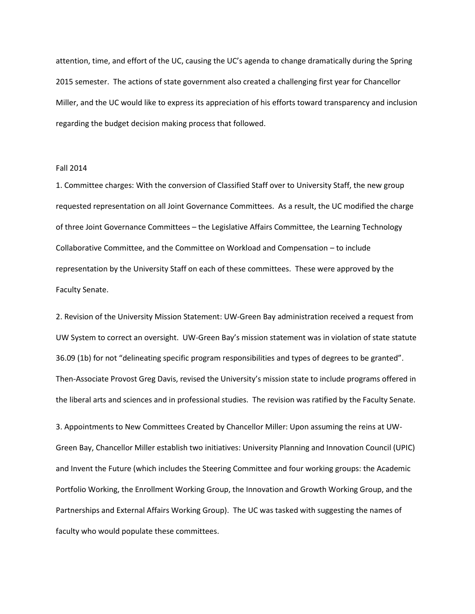attention, time, and effort of the UC, causing the UC's agenda to change dramatically during the Spring 2015 semester. The actions of state government also created a challenging first year for Chancellor Miller, and the UC would like to express its appreciation of his efforts toward transparency and inclusion regarding the budget decision making process that followed.

## Fall 2014

1. Committee charges: With the conversion of Classified Staff over to University Staff, the new group requested representation on all Joint Governance Committees. As a result, the UC modified the charge of three Joint Governance Committees – the Legislative Affairs Committee, the Learning Technology Collaborative Committee, and the Committee on Workload and Compensation – to include representation by the University Staff on each of these committees. These were approved by the Faculty Senate.

2. Revision of the University Mission Statement: UW-Green Bay administration received a request from UW System to correct an oversight. UW-Green Bay's mission statement was in violation of state statute 36.09 (1b) for not "delineating specific program responsibilities and types of degrees to be granted". Then-Associate Provost Greg Davis, revised the University's mission state to include programs offered in the liberal arts and sciences and in professional studies. The revision was ratified by the Faculty Senate.

3. Appointments to New Committees Created by Chancellor Miller: Upon assuming the reins at UW-Green Bay, Chancellor Miller establish two initiatives: University Planning and Innovation Council (UPIC) and Invent the Future (which includes the Steering Committee and four working groups: the Academic Portfolio Working, the Enrollment Working Group, the Innovation and Growth Working Group, and the Partnerships and External Affairs Working Group). The UC was tasked with suggesting the names of faculty who would populate these committees.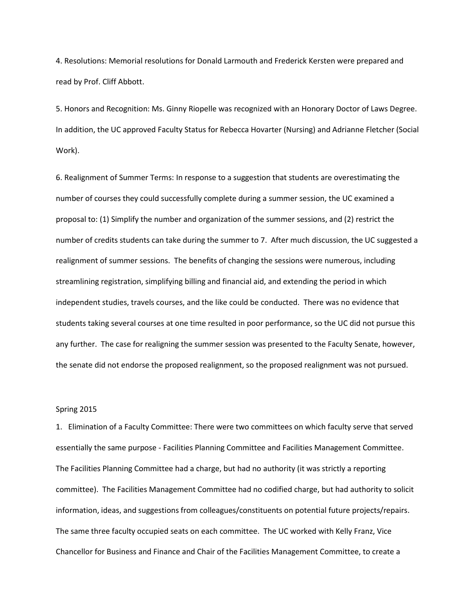4. Resolutions: Memorial resolutions for Donald Larmouth and Frederick Kersten were prepared and read by Prof. Cliff Abbott.

5. Honors and Recognition: Ms. Ginny Riopelle was recognized with an Honorary Doctor of Laws Degree. In addition, the UC approved Faculty Status for Rebecca Hovarter (Nursing) and Adrianne Fletcher (Social Work).

6. Realignment of Summer Terms: In response to a suggestion that students are overestimating the number of courses they could successfully complete during a summer session, the UC examined a proposal to: (1) Simplify the number and organization of the summer sessions, and (2) restrict the number of credits students can take during the summer to 7. After much discussion, the UC suggested a realignment of summer sessions. The benefits of changing the sessions were numerous, including streamlining registration, simplifying billing and financial aid, and extending the period in which independent studies, travels courses, and the like could be conducted. There was no evidence that students taking several courses at one time resulted in poor performance, so the UC did not pursue this any further. The case for realigning the summer session was presented to the Faculty Senate, however, the senate did not endorse the proposed realignment, so the proposed realignment was not pursued.

## Spring 2015

1. Elimination of a Faculty Committee: There were two committees on which faculty serve that served essentially the same purpose - Facilities Planning Committee and Facilities Management Committee. The Facilities Planning Committee had a charge, but had no authority (it was strictly a reporting committee). The Facilities Management Committee had no codified charge, but had authority to solicit information, ideas, and suggestions from colleagues/constituents on potential future projects/repairs. The same three faculty occupied seats on each committee. The UC worked with Kelly Franz, Vice Chancellor for Business and Finance and Chair of the Facilities Management Committee, to create a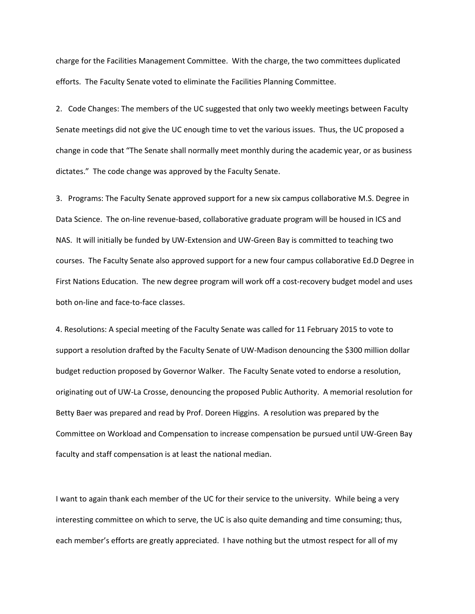charge for the Facilities Management Committee. With the charge, the two committees duplicated efforts. The Faculty Senate voted to eliminate the Facilities Planning Committee.

2. Code Changes: The members of the UC suggested that only two weekly meetings between Faculty Senate meetings did not give the UC enough time to vet the various issues. Thus, the UC proposed a change in code that "The Senate shall normally meet monthly during the academic year, or as business dictates." The code change was approved by the Faculty Senate.

3. Programs: The Faculty Senate approved support for a new six campus collaborative M.S. Degree in Data Science. The on-line revenue-based, collaborative graduate program will be housed in ICS and NAS. It will initially be funded by UW-Extension and UW-Green Bay is committed to teaching two courses. The Faculty Senate also approved support for a new four campus collaborative Ed.D Degree in First Nations Education. The new degree program will work off a cost-recovery budget model and uses both on-line and face-to-face classes.

4. Resolutions: A special meeting of the Faculty Senate was called for 11 February 2015 to vote to support a resolution drafted by the Faculty Senate of UW-Madison denouncing the \$300 million dollar budget reduction proposed by Governor Walker. The Faculty Senate voted to endorse a resolution, originating out of UW-La Crosse, denouncing the proposed Public Authority. A memorial resolution for Betty Baer was prepared and read by Prof. Doreen Higgins. A resolution was prepared by the Committee on Workload and Compensation to increase compensation be pursued until UW-Green Bay faculty and staff compensation is at least the national median.

I want to again thank each member of the UC for their service to the university. While being a very interesting committee on which to serve, the UC is also quite demanding and time consuming; thus, each member's efforts are greatly appreciated. I have nothing but the utmost respect for all of my